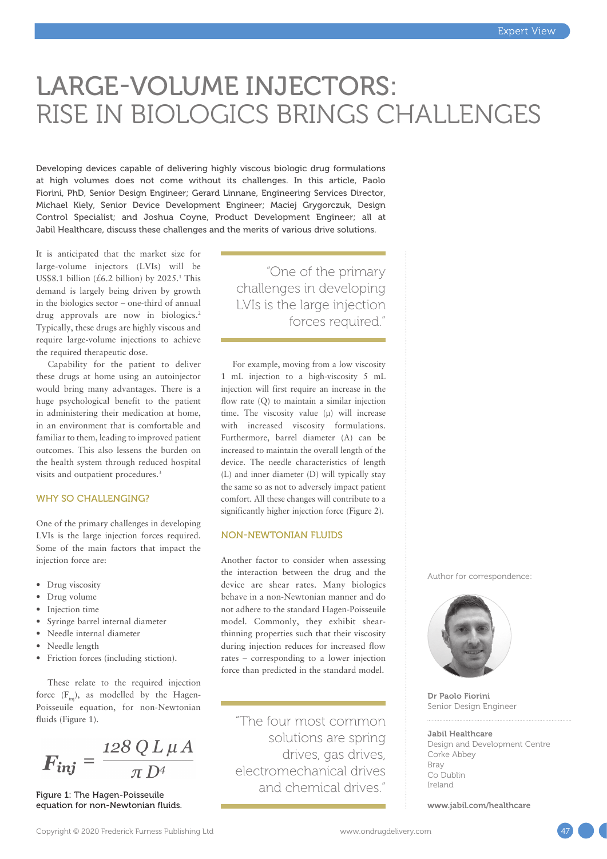# LARGE-VOLUME INJECTORS: RISE IN BIOLOGICS BRINGS CHALLENGES

Developing devices capable of delivering highly viscous biologic drug formulations at high volumes does not come without its challenges. In this article, Paolo Fiorini, PhD, Senior Design Engineer; Gerard Linnane, Engineering Services Director, Michael Kiely, Senior Device Development Engineer; Maciej Grygorczuk, Design Control Specialist; and Joshua Coyne, Product Development Engineer; all at Jabil Healthcare, discuss these challenges and the merits of various drive solutions.

It is anticipated that the market size for large-volume injectors (LVIs) will be US\$8.1 billion  $(\text{\pounds}6.2 \text{ billion})$  by 2025.<sup>1</sup> This demand is largely being driven by growth in the biologics sector – one-third of annual drug approvals are now in biologics.<sup>2</sup> Typically, these drugs are highly viscous and require large-volume injections to achieve the required therapeutic dose.

Capability for the patient to deliver these drugs at home using an autoinjector would bring many advantages. There is a huge psychological benefit to the patient in administering their medication at home, in an environment that is comfortable and familiar to them, leading to improved patient outcomes. This also lessens the burden on the health system through reduced hospital visits and outpatient procedures.<sup>3</sup>

# WHY SO CHALLENGING?

One of the primary challenges in developing LVIs is the large injection forces required. Some of the main factors that impact the injection force are:

- Drug viscosity
- Drug volume
- Injection time
- Syringe barrel internal diameter
- Needle internal diameter
- Needle length
- Friction forces (including stiction).

These relate to the required injection force  $(F_{\text{ini}})$ , as modelled by the Hagen-Poisseuile equation, for non-Newtonian fluids (Figure 1).

 $\boldsymbol{F_{inj}} = \frac{128 \, Q \, L \, \mu \, A}{\pi \, D^4}$ 

Figure 1: The Hagen-Poisseuile equation for non-Newtonian fluids.

"One of the primary challenges in developing LVIs is the large injection forces required."

For example, moving from a low viscosity 1 mL injection to a high-viscosity 5 mL injection will first require an increase in the flow rate (Q) to maintain a similar injection time. The viscosity value (μ) will increase with increased viscosity formulations. Furthermore, barrel diameter (A) can be increased to maintain the overall length of the device. The needle characteristics of length (L) and inner diameter (D) will typically stay the same so as not to adversely impact patient comfort. All these changes will contribute to a significantly higher injection force (Figure 2).

# NON-NEWTONIAN FLUIDS

Another factor to consider when assessing the interaction between the drug and the device are shear rates. Many biologics behave in a non-Newtonian manner and do not adhere to the standard Hagen-Poisseuile model. Commonly, they exhibit shearthinning properties such that their viscosity during injection reduces for increased flow rates – corresponding to a lower injection force than predicted in the standard model.

"The four most common solutions are spring drives, gas drives, electromechanical drives and chemical drives."

Author for correspondence:



Dr Paolo Fiorini Senior Design Engineer

#### Jabil Healthcare

Design and Development Centre Corke Abbey Bray Co Dublin Ireland

[www.jabil.com/healthcare](http://www.jabil.com/healthcare)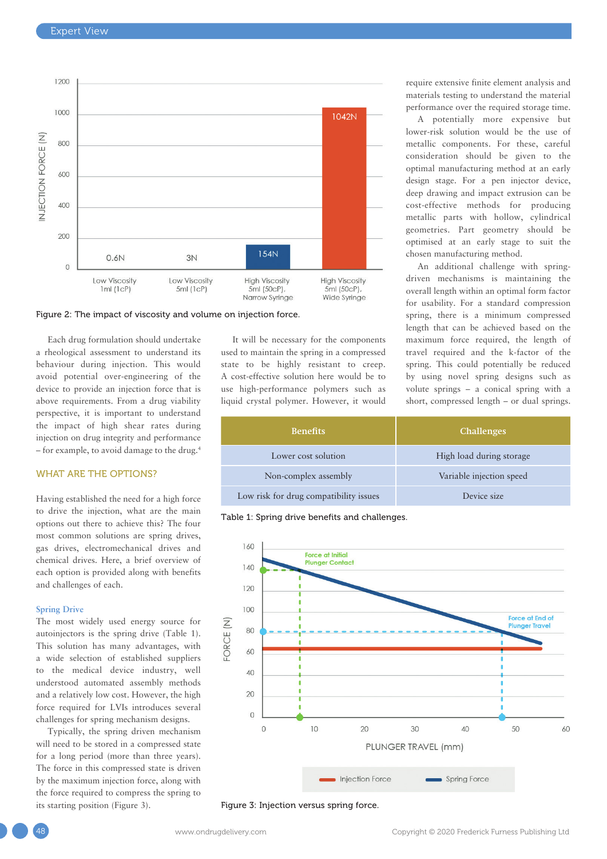

Figure 2: The impact of viscosity and volume on injection force.

Each drug formulation should undertake a rheological assessment to understand its behaviour during injection. This would avoid potential over-engineering of the device to provide an injection force that is above requirements. From a drug viability perspective, it is important to understand the impact of high shear rates during injection on drug integrity and performance – for example, to avoid damage to the drug.4

# WHAT ARE THE OPTIONS?

Having established the need for a high force to drive the injection, what are the main options out there to achieve this? The four most common solutions are spring drives, gas drives, electromechanical drives and chemical drives. Here, a brief overview of each option is provided along with benefits and challenges of each.

### **Spring Drive**

The most widely used energy source for autoinjectors is the spring drive (Table 1). This solution has many advantages, with a wide selection of established suppliers to the medical device industry, well understood automated assembly methods and a relatively low cost. However, the high force required for LVIs introduces several challenges for spring mechanism designs.

Typically, the spring driven mechanism will need to be stored in a compressed state for a long period (more than three years). The force in this compressed state is driven by the maximum injection force, along with the force required to compress the spring to its starting position (Figure 3).

It will be necessary for the components used to maintain the spring in a compressed state to be highly resistant to creep. A cost-effective solution here would be to use high-performance polymers such as liquid crystal polymer. However, it would

| <b>Benefits</b>                        | <b>Challenges</b>        |
|----------------------------------------|--------------------------|
| Lower cost solution                    | High load during storage |
| Non-complex assembly                   | Variable injection speed |
| Low risk for drug compatibility issues | Device size              |

Table 1: Spring drive benefits and challenges.



Figure 3: Injection versus spring force.

A potentially more expensive but lower-risk solution would be the use of metallic components. For these, careful consideration should be given to the optimal manufacturing method at an early design stage. For a pen injector device, deep drawing and impact extrusion can be cost-effective methods for producing metallic parts with hollow, cylindrical geometries. Part geometry should be optimised at an early stage to suit the chosen manufacturing method.

An additional challenge with springdriven mechanisms is maintaining the overall length within an optimal form factor for usability. For a standard compression spring, there is a minimum compressed length that can be achieved based on the maximum force required, the length of travel required and the k-factor of the spring. This could potentially be reduced by using novel spring designs such as volute springs – a conical spring with a short, compressed length – or dual springs.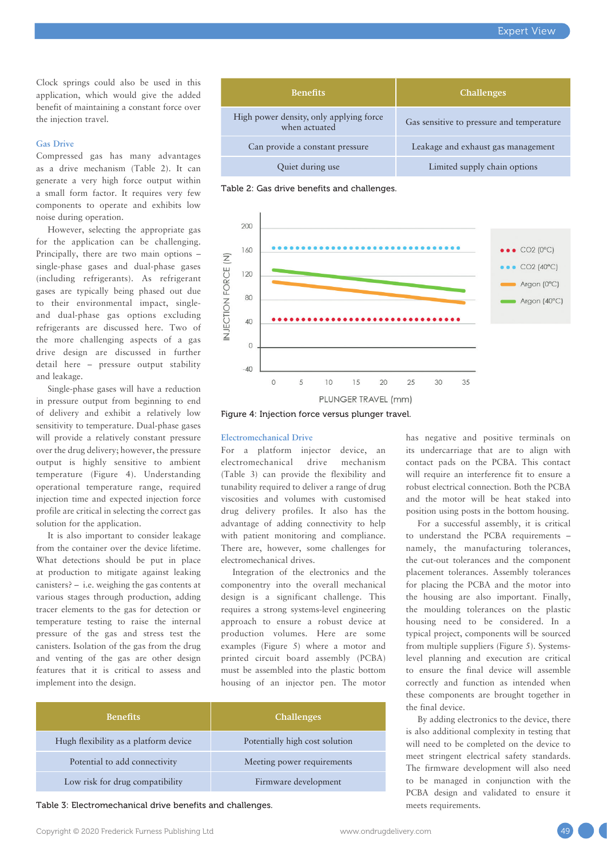Clock springs could also be used in this application, which would give the added benefit of maintaining a constant force over the injection travel.

# **Gas Drive**

Compressed gas has many advantages as a drive mechanism (Table 2). It can generate a very high force output within a small form factor. It requires very few components to operate and exhibits low noise during operation.

However, selecting the appropriate gas for the application can be challenging. Principally, there are two main options – single-phase gases and dual-phase gases (including refrigerants). As refrigerant gases are typically being phased out due to their environmental impact, singleand dual-phase gas options excluding refrigerants are discussed here. Two of the more challenging aspects of a gas drive design are discussed in further detail here – pressure output stability and leakage.

Single-phase gases will have a reduction in pressure output from beginning to end of delivery and exhibit a relatively low sensitivity to temperature. Dual-phase gases will provide a relatively constant pressure over the drug delivery; however, the pressure output is highly sensitive to ambient temperature (Figure 4). Understanding operational temperature range, required injection time and expected injection force profile are critical in selecting the correct gas solution for the application.

It is also important to consider leakage from the container over the device lifetime. What detections should be put in place at production to mitigate against leaking canisters? – i.e. weighing the gas contents at various stages through production, adding tracer elements to the gas for detection or temperature testing to raise the internal pressure of the gas and stress test the canisters. Isolation of the gas from the drug and venting of the gas are other design features that it is critical to assess and implement into the design.

| <b>Benefits</b>                                          | <b>Challenges</b>                         |
|----------------------------------------------------------|-------------------------------------------|
| High power density, only applying force<br>when actuated | Gas sensitive to pressure and temperature |
| Can provide a constant pressure                          | Leakage and exhaust gas management        |
| Quiet during use                                         | Limited supply chain options              |

Table 2: Gas drive benefits and challenges.



Figure 4: Injection force versus plunger travel.

#### **Electromechanical Drive**

For a platform injector device, an electromechanical drive mechanism (Table 3) can provide the flexibility and tunability required to deliver a range of drug viscosities and volumes with customised drug delivery profiles. It also has the advantage of adding connectivity to help with patient monitoring and compliance. There are, however, some challenges for electromechanical drives.

Integration of the electronics and the componentry into the overall mechanical design is a significant challenge. This requires a strong systems-level engineering approach to ensure a robust device at production volumes. Here are some examples (Figure 5) where a motor and printed circuit board assembly (PCBA) must be assembled into the plastic bottom housing of an injector pen. The motor

| <b>Benefits</b>                       | <b>Challenges</b>              |
|---------------------------------------|--------------------------------|
| Hugh flexibility as a platform device | Potentially high cost solution |
| Potential to add connectivity         | Meeting power requirements     |
| Low risk for drug compatibility       | Firmware development           |

Table 3: Electromechanical drive benefits and challenges. The meets requirements.

to understand the PCBA requirements – namely, the manufacturing tolerances, the cut-out tolerances and the component placement tolerances. Assembly tolerances for placing the PCBA and the motor into

the housing are also important. Finally, the moulding tolerances on the plastic housing need to be considered. In a typical project, components will be sourced from multiple suppliers (Figure 5). Systemslevel planning and execution are critical to ensure the final device will assemble correctly and function as intended when these components are brought together in the final device.

has negative and positive terminals on its undercarriage that are to align with contact pads on the PCBA. This contact will require an interference fit to ensure a robust electrical connection. Both the PCBA and the motor will be heat staked into position using posts in the bottom housing. For a successful assembly, it is critical

By adding electronics to the device, there is also additional complexity in testing that will need to be completed on the device to meet stringent electrical safety standards. The firmware development will also need to be managed in conjunction with the PCBA design and validated to ensure it